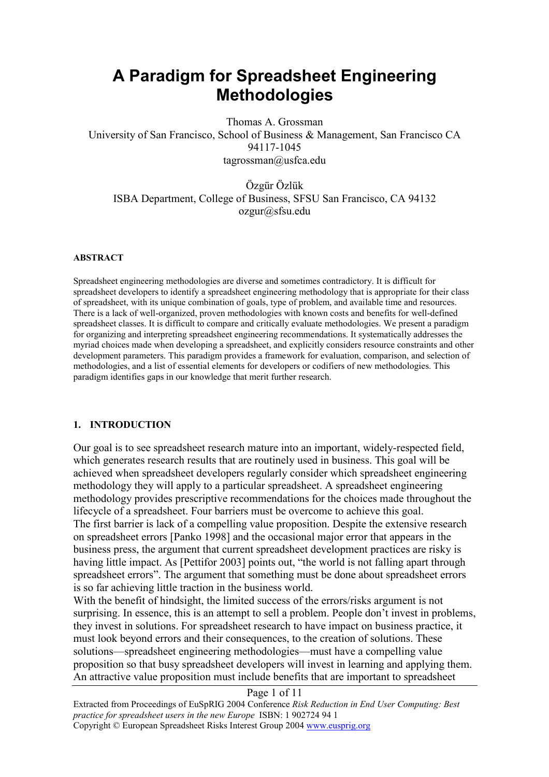# **A Paradigm for Spreadsheet Engineering Methodologies**

Thomas A. Grossman University of San Francisco, School of Business & Management, San Francisco CA 94117-1045 tagrossman@usfca.edu

Özgür Özlük ISBA Department, College of Business, SFSU San Francisco, CA 94132 ozgur@sfsu.edu

#### **ABSTRACT**

Spreadsheet engineering methodologies are diverse and sometimes contradictory. It is difficult for spreadsheet developers to identify a spreadsheet engineering methodology that is appropriate for their class of spreadsheet, with its unique combination of goals, type of problem, and available time and resources. There is a lack of well-organized, proven methodologies with known costs and benefits for well-defined spreadsheet classes. It is difficult to compare and critically evaluate methodologies. We present a paradigm for organizing and interpreting spreadsheet engineering recommendations. It systematically addresses the myriad choices made when developing a spreadsheet, and explicitly considers resource constraints and other development parameters. This paradigm provides a framework for evaluation, comparison, and selection of methodologies, and a list of essential elements for developers or codifiers of new methodologies. This paradigm identifies gaps in our knowledge that merit further research.

#### **1. INTRODUCTION**

Our goal is to see spreadsheet research mature into an important, widely-respected field, which generates research results that are routinely used in business. This goal will be achieved when spreadsheet developers regularly consider which spreadsheet engineering methodology they will apply to a particular spreadsheet. A spreadsheet engineering methodology provides prescriptive recommendations for the choices made throughout the lifecycle of a spreadsheet. Four barriers must be overcome to achieve this goal. The first barrier is lack of a compelling value proposition. Despite the extensive research on spreadsheet errors [Panko 1998] and the occasional major error that appears in the business press, the argument that current spreadsheet development practices are risky is having little impact. As [Pettifor 2003] points out, "the world is not falling apart through spreadsheet errors". The argument that something must be done about spreadsheet errors is so far achieving little traction in the business world.

With the benefit of hindsight, the limited success of the errors/risks argument is not surprising. In essence, this is an attempt to sell a problem. People don't invest in problems, they invest in solutions. For spreadsheet research to have impact on business practice, it must look beyond errors and their consequences, to the creation of solutions. These solutions—spreadsheet engineering methodologies—must have a compelling value proposition so that busy spreadsheet developers will invest in learning and applying them. An attractive value proposition must include benefits that are important to spreadsheet

#### Page 1 of 11

Extracted from Proceedings of EuSpRIG 2004 Conference *Risk Reduction in End User Computing: Best practice for spreadsheet users in the new Europe* ISBN: 1 902724 94 1 Copyright © European Spreadsheet Risks Interest Group 2004 www.eusprig.org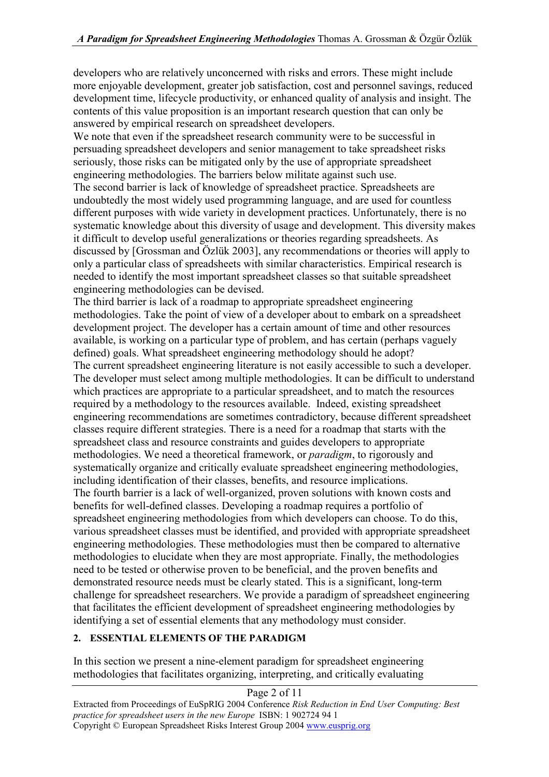developers who are relatively unconcerned with risks and errors. These might include more enjoyable development, greater job satisfaction, cost and personnel savings, reduced development time, lifecycle productivity, or enhanced quality of analysis and insight. The contents of this value proposition is an important research question that can only be answered by empirical research on spreadsheet developers.

We note that even if the spreadsheet research community were to be successful in persuading spreadsheet developers and senior management to take spreadsheet risks seriously, those risks can be mitigated only by the use of appropriate spreadsheet engineering methodologies. The barriers below militate against such use. The second barrier is lack of knowledge of spreadsheet practice. Spreadsheets are undoubtedly the most widely used programming language, and are used for countless different purposes with wide variety in development practices. Unfortunately, there is no systematic knowledge about this diversity of usage and development. This diversity makes it difficult to develop useful generalizations or theories regarding spreadsheets. As discussed by [Grossman and Özlük 2003], any recommendations or theories will apply to only a particular class of spreadsheets with similar characteristics. Empirical research is needed to identify the most important spreadsheet classes so that suitable spreadsheet engineering methodologies can be devised.

The third barrier is lack of a roadmap to appropriate spreadsheet engineering methodologies. Take the point of view of a developer about to embark on a spreadsheet development project. The developer has a certain amount of time and other resources available, is working on a particular type of problem, and has certain (perhaps vaguely defined) goals. What spreadsheet engineering methodology should he adopt? The current spreadsheet engineering literature is not easily accessible to such a developer. The developer must select among multiple methodologies. It can be difficult to understand which practices are appropriate to a particular spreadsheet, and to match the resources required by a methodology to the resources available. Indeed, existing spreadsheet engineering recommendations are sometimes contradictory, because different spreadsheet classes require different strategies. There is a need for a roadmap that starts with the spreadsheet class and resource constraints and guides developers to appropriate methodologies. We need a theoretical framework, or *paradigm*, to rigorously and systematically organize and critically evaluate spreadsheet engineering methodologies, including identification of their classes, benefits, and resource implications. The fourth barrier is a lack of well-organized, proven solutions with known costs and benefits for well-defined classes. Developing a roadmap requires a portfolio of spreadsheet engineering methodologies from which developers can choose. To do this, various spreadsheet classes must be identified, and provided with appropriate spreadsheet engineering methodologies. These methodologies must then be compared to alternative methodologies to elucidate when they are most appropriate. Finally, the methodologies need to be tested or otherwise proven to be beneficial, and the proven benefits and demonstrated resource needs must be clearly stated. This is a significant, long-term challenge for spreadsheet researchers. We provide a paradigm of spreadsheet engineering that facilitates the efficient development of spreadsheet engineering methodologies by identifying a set of essential elements that any methodology must consider.

# **2. ESSENTIAL ELEMENTS OF THE PARADIGM**

In this section we present a nine-element paradigm for spreadsheet engineering methodologies that facilitates organizing, interpreting, and critically evaluating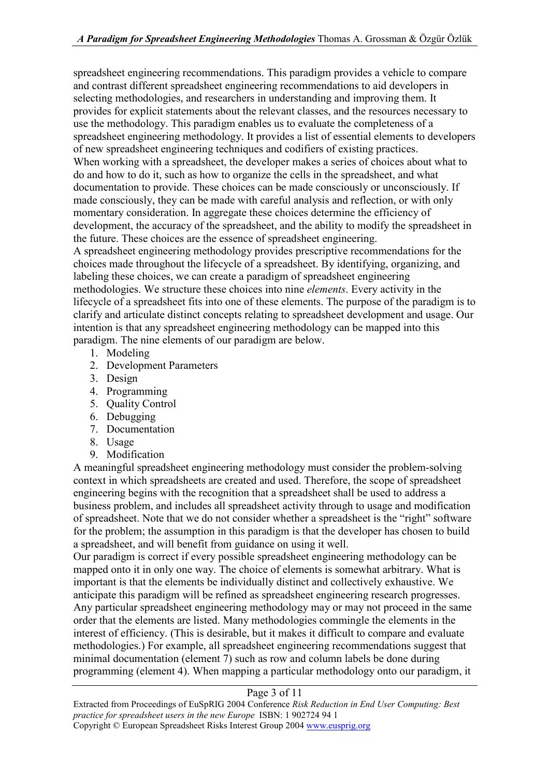spreadsheet engineering recommendations. This paradigm provides a vehicle to compare and contrast different spreadsheet engineering recommendations to aid developers in selecting methodologies, and researchers in understanding and improving them. It provides for explicit statements about the relevant classes, and the resources necessary to use the methodology. This paradigm enables us to evaluate the completeness of a spreadsheet engineering methodology. It provides a list of essential elements to developers of new spreadsheet engineering techniques and codifiers of existing practices. When working with a spreadsheet, the developer makes a series of choices about what to do and how to do it, such as how to organize the cells in the spreadsheet, and what documentation to provide. These choices can be made consciously or unconsciously. If made consciously, they can be made with careful analysis and reflection, or with only momentary consideration. In aggregate these choices determine the efficiency of development, the accuracy of the spreadsheet, and the ability to modify the spreadsheet in the future. These choices are the essence of spreadsheet engineering. A spreadsheet engineering methodology provides prescriptive recommendations for the choices made throughout the lifecycle of a spreadsheet. By identifying, organizing, and labeling these choices, we can create a paradigm of spreadsheet engineering methodologies. We structure these choices into nine *elements*. Every activity in the lifecycle of a spreadsheet fits into one of these elements. The purpose of the paradigm is to clarify and articulate distinct concepts relating to spreadsheet development and usage. Our intention is that any spreadsheet engineering methodology can be mapped into this paradigm. The nine elements of our paradigm are below.

- 1. Modeling
- 2. Development Parameters
- 3. Design
- 4. Programming
- 5. Quality Control
- 6. Debugging
- 7. Documentation
- 8. Usage
- 9. Modification

A meaningful spreadsheet engineering methodology must consider the problem-solving context in which spreadsheets are created and used. Therefore, the scope of spreadsheet engineering begins with the recognition that a spreadsheet shall be used to address a business problem, and includes all spreadsheet activity through to usage and modification of spreadsheet. Note that we do not consider whether a spreadsheet is the "right" software for the problem; the assumption in this paradigm is that the developer has chosen to build a spreadsheet, and will benefit from guidance on using it well.

Our paradigm is correct if every possible spreadsheet engineering methodology can be mapped onto it in only one way. The choice of elements is somewhat arbitrary. What is important is that the elements be individually distinct and collectively exhaustive. We anticipate this paradigm will be refined as spreadsheet engineering research progresses. Any particular spreadsheet engineering methodology may or may not proceed in the same order that the elements are listed. Many methodologies commingle the elements in the interest of efficiency. (This is desirable, but it makes it difficult to compare and evaluate methodologies.) For example, all spreadsheet engineering recommendations suggest that minimal documentation (element 7) such as row and column labels be done during programming (element 4). When mapping a particular methodology onto our paradigm, it

#### Page 3 of 11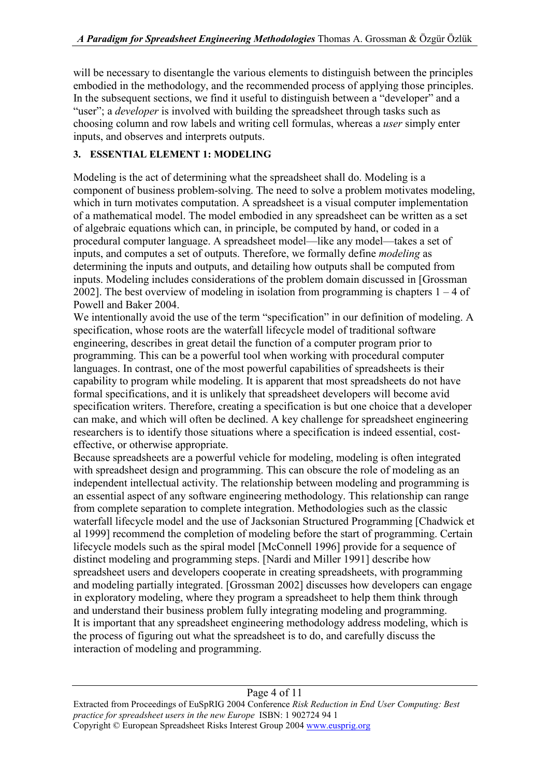will be necessary to disentangle the various elements to distinguish between the principles embodied in the methodology, and the recommended process of applying those principles. In the subsequent sections, we find it useful to distinguish between a "developer" and a "user"; a *developer* is involved with building the spreadsheet through tasks such as choosing column and row labels and writing cell formulas, whereas a *user* simply enter inputs, and observes and interprets outputs.

# **3. ESSENTIAL ELEMENT 1: MODELING**

Modeling is the act of determining what the spreadsheet shall do. Modeling is a component of business problem-solving. The need to solve a problem motivates modeling, which in turn motivates computation. A spreadsheet is a visual computer implementation of a mathematical model. The model embodied in any spreadsheet can be written as a set of algebraic equations which can, in principle, be computed by hand, or coded in a procedural computer language. A spreadsheet model—like any model—takes a set of inputs, and computes a set of outputs. Therefore, we formally define *modeling* as determining the inputs and outputs, and detailing how outputs shall be computed from inputs. Modeling includes considerations of the problem domain discussed in [Grossman 2002]. The best overview of modeling in isolation from programming is chapters  $1 - 4$  of Powell and Baker 2004.

We intentionally avoid the use of the term "specification" in our definition of modeling. A specification, whose roots are the waterfall lifecycle model of traditional software engineering, describes in great detail the function of a computer program prior to programming. This can be a powerful tool when working with procedural computer languages. In contrast, one of the most powerful capabilities of spreadsheets is their capability to program while modeling. It is apparent that most spreadsheets do not have formal specifications, and it is unlikely that spreadsheet developers will become avid specification writers. Therefore, creating a specification is but one choice that a developer can make, and which will often be declined. A key challenge for spreadsheet engineering researchers is to identify those situations where a specification is indeed essential, costeffective, or otherwise appropriate.

Because spreadsheets are a powerful vehicle for modeling, modeling is often integrated with spreadsheet design and programming. This can obscure the role of modeling as an independent intellectual activity. The relationship between modeling and programming is an essential aspect of any software engineering methodology. This relationship can range from complete separation to complete integration. Methodologies such as the classic waterfall lifecycle model and the use of Jacksonian Structured Programming [Chadwick et al 1999] recommend the completion of modeling before the start of programming. Certain lifecycle models such as the spiral model [McConnell 1996] provide for a sequence of distinct modeling and programming steps. [Nardi and Miller 1991] describe how spreadsheet users and developers cooperate in creating spreadsheets, with programming and modeling partially integrated. [Grossman 2002] discusses how developers can engage in exploratory modeling, where they program a spreadsheet to help them think through and understand their business problem fully integrating modeling and programming. It is important that any spreadsheet engineering methodology address modeling, which is the process of figuring out what the spreadsheet is to do, and carefully discuss the interaction of modeling and programming.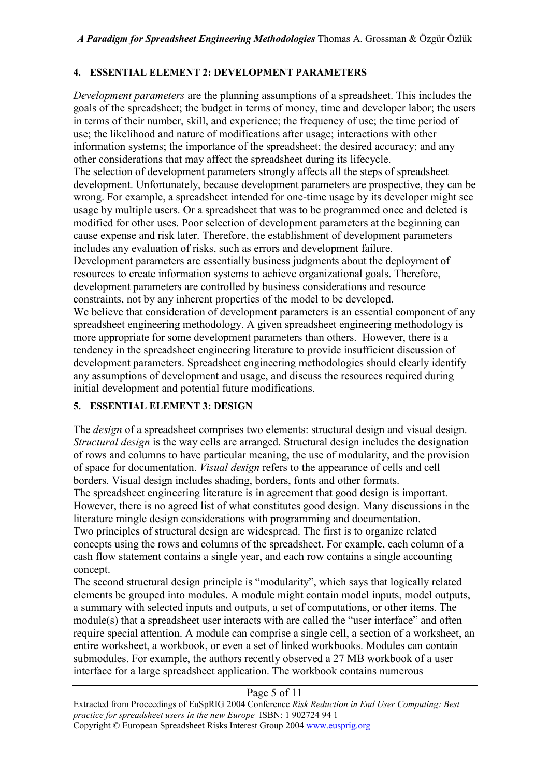# **4. ESSENTIAL ELEMENT 2: DEVELOPMENT PARAMETERS**

*Development parameters* are the planning assumptions of a spreadsheet. This includes the goals of the spreadsheet; the budget in terms of money, time and developer labor; the users in terms of their number, skill, and experience; the frequency of use; the time period of use; the likelihood and nature of modifications after usage; interactions with other information systems; the importance of the spreadsheet; the desired accuracy; and any other considerations that may affect the spreadsheet during its lifecycle. The selection of development parameters strongly affects all the steps of spreadsheet development. Unfortunately, because development parameters are prospective, they can be wrong. For example, a spreadsheet intended for one-time usage by its developer might see usage by multiple users. Or a spreadsheet that was to be programmed once and deleted is modified for other uses. Poor selection of development parameters at the beginning can cause expense and risk later. Therefore, the establishment of development parameters includes any evaluation of risks, such as errors and development failure. Development parameters are essentially business judgments about the deployment of resources to create information systems to achieve organizational goals. Therefore, development parameters are controlled by business considerations and resource constraints, not by any inherent properties of the model to be developed. We believe that consideration of development parameters is an essential component of any spreadsheet engineering methodology. A given spreadsheet engineering methodology is more appropriate for some development parameters than others. However, there is a tendency in the spreadsheet engineering literature to provide insufficient discussion of development parameters. Spreadsheet engineering methodologies should clearly identify any assumptions of development and usage, and discuss the resources required during initial development and potential future modifications.

# **5. ESSENTIAL ELEMENT 3: DESIGN**

The *design* of a spreadsheet comprises two elements: structural design and visual design. *Structural design* is the way cells are arranged. Structural design includes the designation of rows and columns to have particular meaning, the use of modularity, and the provision of space for documentation. *Visual design* refers to the appearance of cells and cell borders. Visual design includes shading, borders, fonts and other formats.

The spreadsheet engineering literature is in agreement that good design is important. However, there is no agreed list of what constitutes good design. Many discussions in the literature mingle design considerations with programming and documentation.

Two principles of structural design are widespread. The first is to organize related concepts using the rows and columns of the spreadsheet. For example, each column of a cash flow statement contains a single year, and each row contains a single accounting concept.

The second structural design principle is "modularity", which says that logically related elements be grouped into modules. A module might contain model inputs, model outputs, a summary with selected inputs and outputs, a set of computations, or other items. The module(s) that a spreadsheet user interacts with are called the "user interface" and often require special attention. A module can comprise a single cell, a section of a worksheet, an entire worksheet, a workbook, or even a set of linked workbooks. Modules can contain submodules. For example, the authors recently observed a 27 MB workbook of a user interface for a large spreadsheet application. The workbook contains numerous

# Page 5 of 11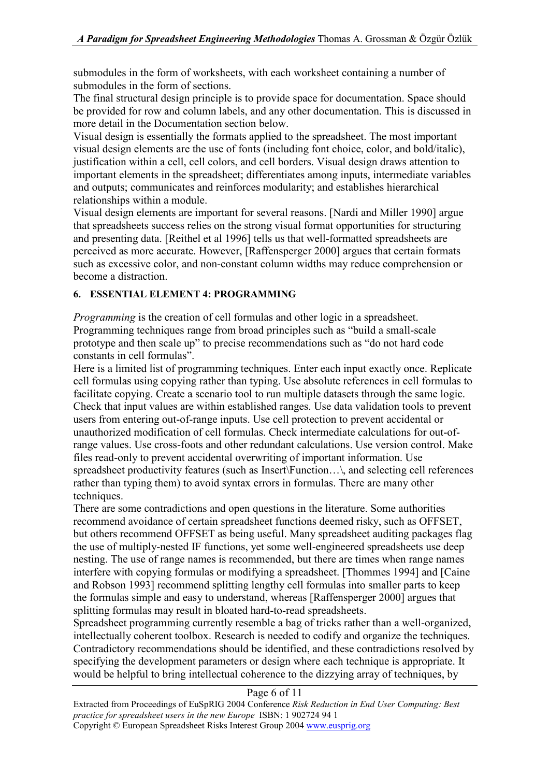submodules in the form of worksheets, with each worksheet containing a number of submodules in the form of sections.

The final structural design principle is to provide space for documentation. Space should be provided for row and column labels, and any other documentation. This is discussed in more detail in the Documentation section below.

Visual design is essentially the formats applied to the spreadsheet. The most important visual design elements are the use of fonts (including font choice, color, and bold/italic), justification within a cell, cell colors, and cell borders. Visual design draws attention to important elements in the spreadsheet; differentiates among inputs, intermediate variables and outputs; communicates and reinforces modularity; and establishes hierarchical relationships within a module.

Visual design elements are important for several reasons. [Nardi and Miller 1990] argue that spreadsheets success relies on the strong visual format opportunities for structuring and presenting data. [Reithel et al 1996] tells us that well-formatted spreadsheets are perceived as more accurate. However, [Raffensperger 2000] argues that certain formats such as excessive color, and non-constant column widths may reduce comprehension or become a distraction.

## **6. ESSENTIAL ELEMENT 4: PROGRAMMING**

*Programming* is the creation of cell formulas and other logic in a spreadsheet. Programming techniques range from broad principles such as "build a small-scale prototype and then scale up" to precise recommendations such as "do not hard code constants in cell formulas".

Here is a limited list of programming techniques. Enter each input exactly once. Replicate cell formulas using copying rather than typing. Use absolute references in cell formulas to facilitate copying. Create a scenario tool to run multiple datasets through the same logic. Check that input values are within established ranges. Use data validation tools to prevent users from entering out-of-range inputs. Use cell protection to prevent accidental or unauthorized modification of cell formulas. Check intermediate calculations for out-ofrange values. Use cross-foots and other redundant calculations. Use version control. Make files read-only to prevent accidental overwriting of important information. Use spreadsheet productivity features (such as Insert\Function...\, and selecting cell references rather than typing them) to avoid syntax errors in formulas. There are many other techniques.

There are some contradictions and open questions in the literature. Some authorities recommend avoidance of certain spreadsheet functions deemed risky, such as OFFSET, but others recommend OFFSET as being useful. Many spreadsheet auditing packages flag the use of multiply-nested IF functions, yet some well-engineered spreadsheets use deep nesting. The use of range names is recommended, but there are times when range names interfere with copying formulas or modifying a spreadsheet. [Thommes 1994] and [Caine and Robson 1993] recommend splitting lengthy cell formulas into smaller parts to keep the formulas simple and easy to understand, whereas [Raffensperger 2000] argues that splitting formulas may result in bloated hard-to-read spreadsheets.

Spreadsheet programming currently resemble a bag of tricks rather than a well-organized, intellectually coherent toolbox. Research is needed to codify and organize the techniques. Contradictory recommendations should be identified, and these contradictions resolved by specifying the development parameters or design where each technique is appropriate. It would be helpful to bring intellectual coherence to the dizzying array of techniques, by

#### Page 6 of 11

Extracted from Proceedings of EuSpRIG 2004 Conference *Risk Reduction in End User Computing: Best practice for spreadsheet users in the new Europe* ISBN: 1 902724 94 1 Copyright © European Spreadsheet Risks Interest Group 2004 www.eusprig.org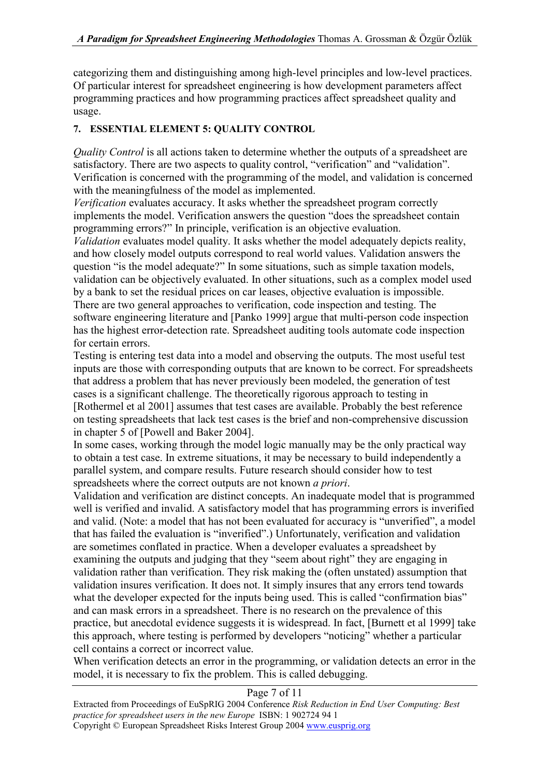categorizing them and distinguishing among high-level principles and low-level practices. Of particular interest for spreadsheet engineering is how development parameters affect programming practices and how programming practices affect spreadsheet quality and usage.

## **7. ESSENTIAL ELEMENT 5: QUALITY CONTROL**

*Quality Control* is all actions taken to determine whether the outputs of a spreadsheet are satisfactory. There are two aspects to quality control, "verification" and "validation". Verification is concerned with the programming of the model, and validation is concerned with the meaningfulness of the model as implemented.

*Verification* evaluates accuracy. It asks whether the spreadsheet program correctly implements the model. Verification answers the question "does the spreadsheet contain programming errors?" In principle, verification is an objective evaluation.

*Validation* evaluates model quality. It asks whether the model adequately depicts reality, and how closely model outputs correspond to real world values. Validation answers the question "is the model adequate?" In some situations, such as simple taxation models, validation can be objectively evaluated. In other situations, such as a complex model used by a bank to set the residual prices on car leases, objective evaluation is impossible. There are two general approaches to verification, code inspection and testing. The software engineering literature and [Panko 1999] argue that multi-person code inspection has the highest error-detection rate. Spreadsheet auditing tools automate code inspection for certain errors.

Testing is entering test data into a model and observing the outputs. The most useful test inputs are those with corresponding outputs that are known to be correct. For spreadsheets that address a problem that has never previously been modeled, the generation of test cases is a significant challenge. The theoretically rigorous approach to testing in [Rothermel et al 2001] assumes that test cases are available. Probably the best reference on testing spreadsheets that lack test cases is the brief and non-comprehensive discussion in chapter 5 of [Powell and Baker 2004].

In some cases, working through the model logic manually may be the only practical way to obtain a test case. In extreme situations, it may be necessary to build independently a parallel system, and compare results. Future research should consider how to test spreadsheets where the correct outputs are not known *a priori*.

Validation and verification are distinct concepts. An inadequate model that is programmed well is verified and invalid. A satisfactory model that has programming errors is inverified and valid. (Note: a model that has not been evaluated for accuracy is "unverified", a model that has failed the evaluation is "inverified".) Unfortunately, verification and validation are sometimes conflated in practice. When a developer evaluates a spreadsheet by examining the outputs and judging that they "seem about right" they are engaging in validation rather than verification. They risk making the (often unstated) assumption that validation insures verification. It does not. It simply insures that any errors tend towards what the developer expected for the inputs being used. This is called "confirmation bias" and can mask errors in a spreadsheet. There is no research on the prevalence of this practice, but anecdotal evidence suggests it is widespread. In fact, [Burnett et al 1999] take this approach, where testing is performed by developers "noticing" whether a particular cell contains a correct or incorrect value.

When verification detects an error in the programming, or validation detects an error in the model, it is necessary to fix the problem. This is called debugging.

#### Page 7 of 11

Extracted from Proceedings of EuSpRIG 2004 Conference *Risk Reduction in End User Computing: Best practice for spreadsheet users in the new Europe* ISBN: 1 902724 94 1 Copyright © European Spreadsheet Risks Interest Group 2004 www.eusprig.org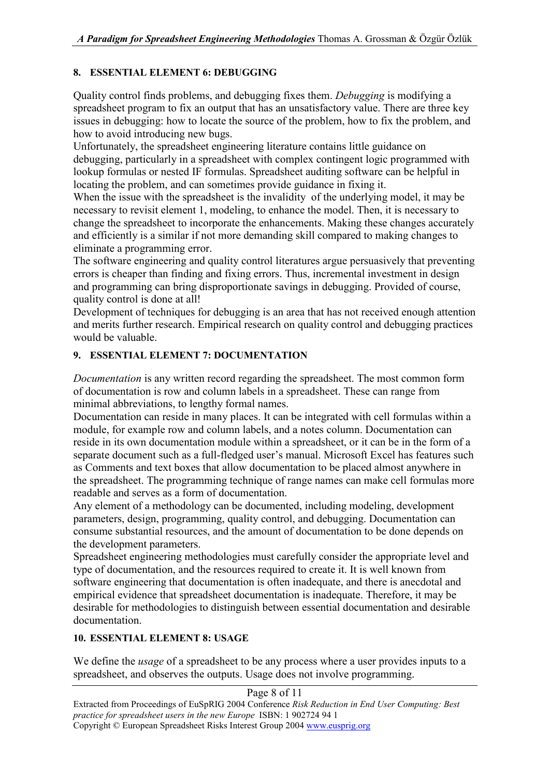## **8. ESSENTIAL ELEMENT 6: DEBUGGING**

Quality control finds problems, and debugging fixes them. *Debugging* is modifying a spreadsheet program to fix an output that has an unsatisfactory value. There are three key issues in debugging: how to locate the source of the problem, how to fix the problem, and how to avoid introducing new bugs.

Unfortunately, the spreadsheet engineering literature contains little guidance on debugging, particularly in a spreadsheet with complex contingent logic programmed with lookup formulas or nested IF formulas. Spreadsheet auditing software can be helpful in locating the problem, and can sometimes provide guidance in fixing it.

When the issue with the spreadsheet is the invalidity of the underlying model, it may be necessary to revisit element 1, modeling, to enhance the model. Then, it is necessary to change the spreadsheet to incorporate the enhancements. Making these changes accurately and efficiently is a similar if not more demanding skill compared to making changes to eliminate a programming error.

The software engineering and quality control literatures argue persuasively that preventing errors is cheaper than finding and fixing errors. Thus, incremental investment in design and programming can bring disproportionate savings in debugging. Provided of course, quality control is done at all!

Development of techniques for debugging is an area that has not received enough attention and merits further research. Empirical research on quality control and debugging practices would be valuable.

## **9. ESSENTIAL ELEMENT 7: DOCUMENTATION**

*Documentation* is any written record regarding the spreadsheet. The most common form of documentation is row and column labels in a spreadsheet. These can range from minimal abbreviations, to lengthy formal names.

Documentation can reside in many places. It can be integrated with cell formulas within a module, for example row and column labels, and a notes column. Documentation can reside in its own documentation module within a spreadsheet, or it can be in the form of a separate document such as a full-fledged user's manual. Microsoft Excel has features such as Comments and text boxes that allow documentation to be placed almost anywhere in the spreadsheet. The programming technique of range names can make cell formulas more readable and serves as a form of documentation.

Any element of a methodology can be documented, including modeling, development parameters, design, programming, quality control, and debugging. Documentation can consume substantial resources, and the amount of documentation to be done depends on the development parameters.

Spreadsheet engineering methodologies must carefully consider the appropriate level and type of documentation, and the resources required to create it. It is well known from software engineering that documentation is often inadequate, and there is anecdotal and empirical evidence that spreadsheet documentation is inadequate. Therefore, it may be desirable for methodologies to distinguish between essential documentation and desirable documentation.

## **10. ESSENTIAL ELEMENT 8: USAGE**

We define the *usage* of a spreadsheet to be any process where a user provides inputs to a spreadsheet, and observes the outputs. Usage does not involve programming.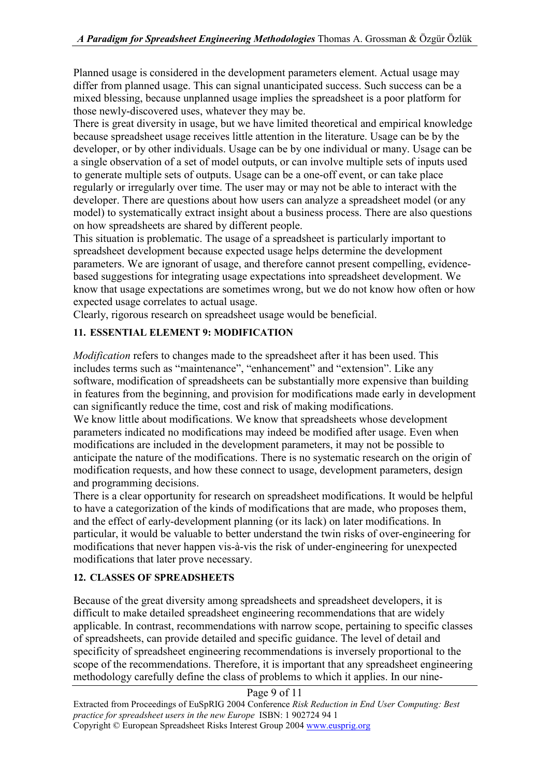Planned usage is considered in the development parameters element. Actual usage may differ from planned usage. This can signal unanticipated success. Such success can be a mixed blessing, because unplanned usage implies the spreadsheet is a poor platform for those newly-discovered uses, whatever they may be.

There is great diversity in usage, but we have limited theoretical and empirical knowledge because spreadsheet usage receives little attention in the literature. Usage can be by the developer, or by other individuals. Usage can be by one individual or many. Usage can be a single observation of a set of model outputs, or can involve multiple sets of inputs used to generate multiple sets of outputs. Usage can be a one-off event, or can take place regularly or irregularly over time. The user may or may not be able to interact with the developer. There are questions about how users can analyze a spreadsheet model (or any model) to systematically extract insight about a business process. There are also questions on how spreadsheets are shared by different people.

This situation is problematic. The usage of a spreadsheet is particularly important to spreadsheet development because expected usage helps determine the development parameters. We are ignorant of usage, and therefore cannot present compelling, evidencebased suggestions for integrating usage expectations into spreadsheet development. We know that usage expectations are sometimes wrong, but we do not know how often or how expected usage correlates to actual usage.

Clearly, rigorous research on spreadsheet usage would be beneficial.

## **11. ESSENTIAL ELEMENT 9: MODIFICATION**

*Modification* refers to changes made to the spreadsheet after it has been used. This includes terms such as "maintenance", "enhancement" and "extension". Like any software, modification of spreadsheets can be substantially more expensive than building in features from the beginning, and provision for modifications made early in development can significantly reduce the time, cost and risk of making modifications.

We know little about modifications. We know that spreadsheets whose development parameters indicated no modifications may indeed be modified after usage. Even when modifications are included in the development parameters, it may not be possible to anticipate the nature of the modifications. There is no systematic research on the origin of modification requests, and how these connect to usage, development parameters, design and programming decisions.

There is a clear opportunity for research on spreadsheet modifications. It would be helpful to have a categorization of the kinds of modifications that are made, who proposes them, and the effect of early-development planning (or its lack) on later modifications. In particular, it would be valuable to better understand the twin risks of over-engineering for modifications that never happen vis-à-vis the risk of under-engineering for unexpected modifications that later prove necessary.

## **12. CLASSES OF SPREADSHEETS**

Because of the great diversity among spreadsheets and spreadsheet developers, it is difficult to make detailed spreadsheet engineering recommendations that are widely applicable. In contrast, recommendations with narrow scope, pertaining to specific classes of spreadsheets, can provide detailed and specific guidance. The level of detail and specificity of spreadsheet engineering recommendations is inversely proportional to the scope of the recommendations. Therefore, it is important that any spreadsheet engineering methodology carefully define the class of problems to which it applies. In our nine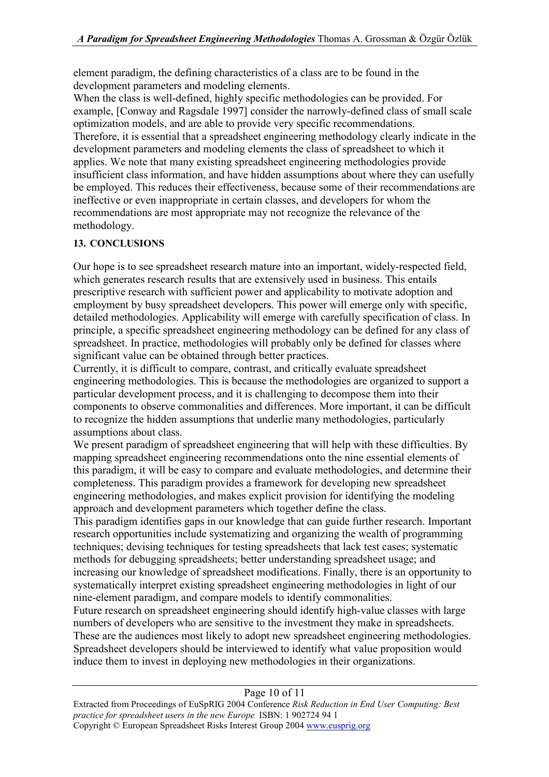element paradigm, the defining characteristics of a class are to be found in the development parameters and modeling elements.

When the class is well-defined, highly specific methodologies can be provided. For example, [Conway and Ragsdale 1997] consider the narrowly-defined class of small scale optimization models, and are able to provide very specific recommendations. Therefore, it is essential that a spreadsheet engineering methodology clearly indicate in the development parameters and modeling elements the class of spreadsheet to which it applies. We note that many existing spreadsheet engineering methodologies provide insufficient class information, and have hidden assumptions about where they can usefully be employed. This reduces their effectiveness, because some of their recommendations are ineffective or even inappropriate in certain classes, and developers for whom the recommendations are most appropriate may not recognize the relevance of the methodology.

# **13. CONCLUSIONS**

Our hope is to see spreadsheet research mature into an important, widely-respected field, which generates research results that are extensively used in business. This entails prescriptive research with sufficient power and applicability to motivate adoption and employment by busy spreadsheet developers. This power will emerge only with specific, detailed methodologies. Applicability will emerge with carefully specification of class. In principle, a specific spreadsheet engineering methodology can be defined for any class of spreadsheet. In practice, methodologies will probably only be defined for classes where significant value can be obtained through better practices.

Currently, it is difficult to compare, contrast, and critically evaluate spreadsheet engineering methodologies. This is because the methodologies are organized to support a particular development process, and it is challenging to decompose them into their components to observe commonalities and differences. More important, it can be difficult to recognize the hidden assumptions that underlie many methodologies, particularly assumptions about class.

We present paradigm of spreadsheet engineering that will help with these difficulties. By mapping spreadsheet engineering recommendations onto the nine essential elements of this paradigm, it will be easy to compare and evaluate methodologies, and determine their completeness. This paradigm provides a framework for developing new spreadsheet engineering methodologies, and makes explicit provision for identifying the modeling approach and development parameters which together define the class.

This paradigm identifies gaps in our knowledge that can guide further research. Important research opportunities include systematizing and organizing the wealth of programming techniques; devising techniques for testing spreadsheets that lack test cases; systematic methods for debugging spreadsheets; better understanding spreadsheet usage; and increasing our knowledge of spreadsheet modifications. Finally, there is an opportunity to systematically interpret existing spreadsheet engineering methodologies in light of our nine-element paradigm, and compare models to identify commonalities.

Future research on spreadsheet engineering should identify high-value classes with large numbers of developers who are sensitive to the investment they make in spreadsheets. These are the audiences most likely to adopt new spreadsheet engineering methodologies. Spreadsheet developers should be interviewed to identify what value proposition would induce them to invest in deploying new methodologies in their organizations.

#### Page 10 of 11

Extracted from Proceedings of EuSpRIG 2004 Conference *Risk Reduction in End User Computing: Best practice for spreadsheet users in the new Europe* ISBN: 1 902724 94 1 Copyright © European Spreadsheet Risks Interest Group 2004 www.eusprig.org